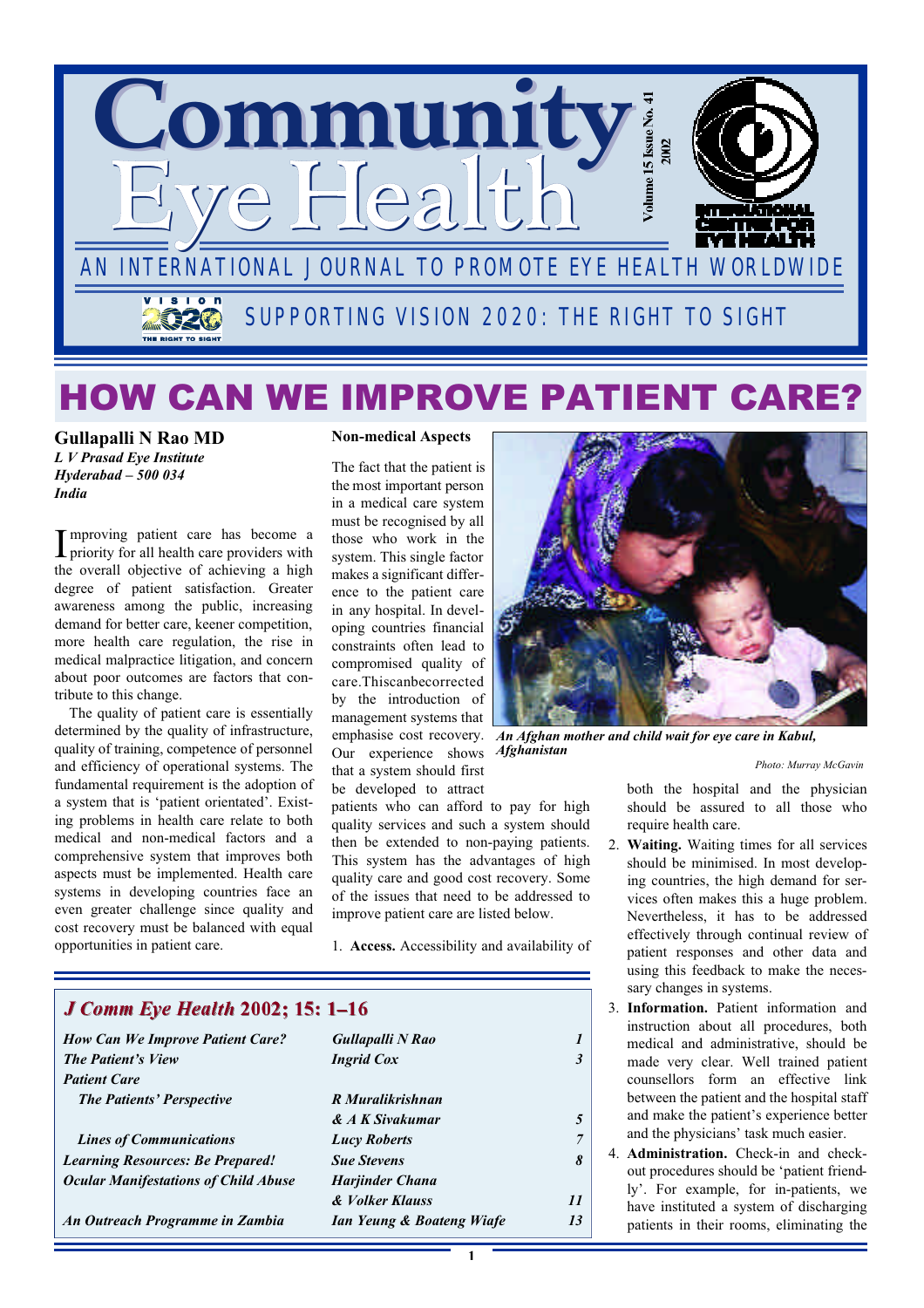

# HOW CAN WE IMPROVE PATIENT CARE?

**Gullapalli N Rao MD** *L V Prasad Eye Institute Hyderabad – 500 034 India*

Improving patient care has become a<br>priority for all health care providers with priority for all health care providers with the overall objective of achieving a high degree of patient satisfaction. Greater awareness among the public, increasing demand for better care, keener competition, more health care regulation, the rise in medical malpractice litigation, and concern about poor outcomes are factors that contribute to this change.

The quality of patient care is essentially determined by the quality of infrastructure, quality of training, competence of personnel and efficiency of operational systems. The fundamental requirement is the adoption of a system that is 'patient orientated'. Existing problems in health care relate to both medical and non-medical factors and a comprehensive system that improves both aspects must be implemented. Health care systems in developing countries face an even greater challenge since quality and cost recovery must be balanced with equal opportunities in patient care.

### **Non-medical Aspects**

The fact that the patient is the most important person in a medical care system must be recognised by all those who work in the system. This single factor makes a significant difference to the patient care in any hospital. In developing countries financial constraints often lead to compromised quality of care.Thiscanbecorrected by the introduction of management systems that Our experience shows *Afghanistan* that a system should first be developed to attract

patients who can afford to pay for high quality services and such a system should then be extended to non-paying patients. This system has the advantages of high quality care and good cost recovery. Some of the issues that need to be addressed to improve patient care are listed below.

1. **Access.** Accessibility and availability of

| <b>J Comm Eye Health 2002; 15: 1-16</b>     |                           |    |
|---------------------------------------------|---------------------------|----|
| <b>How Can We Improve Patient Care?</b>     | Gullapalli N Rao          |    |
| <b>The Patient's View</b>                   | <b>Ingrid Cox</b>         |    |
| <b>Patient Care</b>                         |                           |    |
| <b>The Patients' Perspective</b>            | R Muralikrishnan          |    |
|                                             | & A K Sivakumar           |    |
| <b>Lines of Communications</b>              | <b>Lucy Roberts</b>       |    |
| <b>Learning Resources: Be Prepared!</b>     | <b>Sue Stevens</b>        | 8  |
| <b>Ocular Manifestations of Child Abuse</b> | Harjinder Chana           |    |
|                                             | & Volker Klauss           | 11 |
| An Outreach Programme in Zambia             | Ian Yeung & Boateng Wiafe | 13 |



emphasise cost recovery. *An Afghan mother and child wait for eye care in Kabul,*

*Photo: Murray McGavin*

both the hospital and the physician should be assured to all those who require health care.

- 2. **Waiting.** Waiting times for all services should be minimised. In most developing countries, the high demand for services often makes this a huge problem. Nevertheless, it has to be addressed effectively through continual review of patient responses and other data and using this feedback to make the necessary changes in systems.
- 3. **Information.** Patient information and instruction about all procedures, both medical and administrative, should be made very clear. Well trained patient counsellors form an effective link between the patient and the hospital staff and make the patient's experience better and the physicians' task much easier.
- 4. **Administration.** Check-in and checkout procedures should be 'patient friendly'. For example, for in-patients, we have instituted a system of discharging patients in their rooms, eliminating the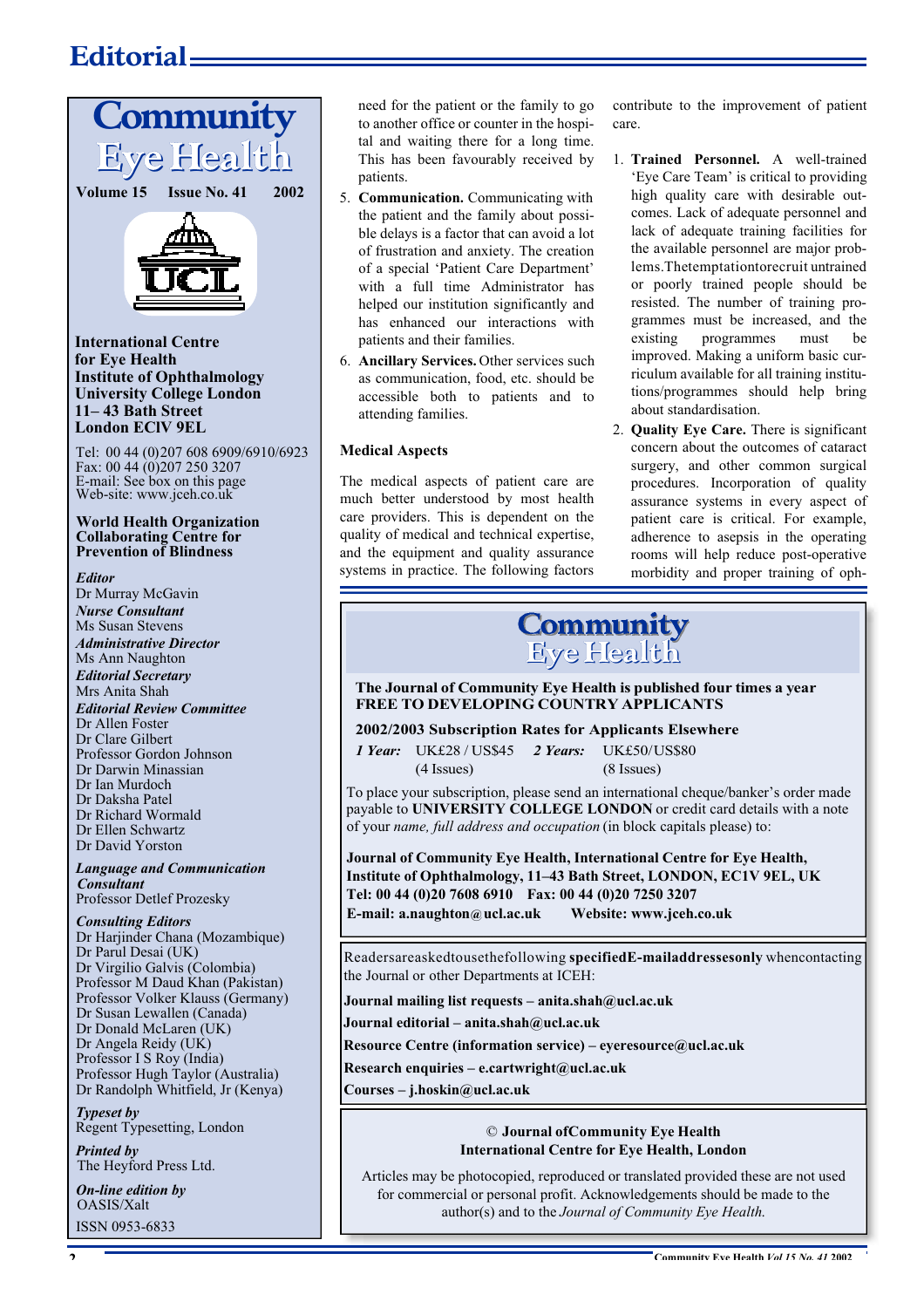### **Editorial**



Dr Harjinder Chana (Mozambique) Dr Parul Desai (UK) Dr Virgilio Galvis (Colombia) Professor M Daud Khan (Pakistan) Professor Volker Klauss (Germany) Dr Susan Lewallen (Canada) Dr Donald McLaren (UK) Dr Angela Reidy (UK) Professor I S Roy (India) Professor Hugh Taylor (Australia) Dr Randolph Whitfield, Jr (Kenya)

### *Typeset by*

Regent Typesetting, London

*Printed by* The Heyford Press Ltd.

*On-line edition by*  OASIS/Xalt ISSN 0953-6833

need for the patient or the family to go to another office or counter in the hospital and waiting there for a long time. This has been favourably received by patients.

- 5. **Communication.** Communicating with the patient and the family about possible delays is a factor that can avoid a lot of frustration and anxiety. The creation of a special 'Patient Care Department' with a full time Administrator has helped our institution significantly and has enhanced our interactions with patients and their families.
- 6. **Ancillary Services.** Other services such as communication, food, etc. should be accessible both to patients and to attending families.

### **Medical Aspects**

The medical aspects of patient care are much better understood by most health care providers. This is dependent on the quality of medical and technical expertise, and the equipment and quality assurance systems in practice. The following factors

contribute to the improvement of patient care.

- 1. **Trained Personnel.** A well-trained 'Eye Care Team' is critical to providing high quality care with desirable outcomes. Lack of adequate personnel and lack of adequate training facilities for the available personnel are major problems. The temptation to recruit untrained or poorly trained people should be resisted. The number of training programmes must be increased, and the existing programmes must be improved. Making a uniform basic curriculum available for all training institutions/programmes should help bring about standardisation.
- 2. **Quality Eye Care.** There is significant concern about the outcomes of cataract surgery, and other common surgical procedures. Incorporation of quality assurance systems in every aspect of patient care is critical. For example, adherence to asepsis in the operating rooms will help reduce post-operative morbidity and proper training of oph-

# **Community**<br>Eye Health

The Journal of Community Eye Health is published four times a year **FREE TO DEVELOPING COUNTRY APPLICANTS**

### **2002/2003 Subscription Rates for Applicants Elsewhere**

*1 Year:* UK£28 / US\$45 *2 Years:* UK£50/US\$80 (4 Issues) (8 Issues)

To place your subscription, please send an international cheque/banker's order made payable to **UNIVERSITY COLLEGE LONDON** or credit card details with a note of your *name, full address and occupation* (in block capitals please) to:

**Journal of Community Eye Health, International Centre for Eye Health, Institute of Ophthalmology, 11–43 Bath Street, LONDON, EC1V 9EL, UK Tel: 00 44 (0)20 7608 6910 Fax: 00 44 (0)20 7250 3207 E-mail: a.naughton@ucl.ac.uk Website: www.jceh.co.uk**

Readersareaskedtousethefollowing **specifiedE-mailaddressesonly** whencontacting the Journal or other Departments at ICEH:

**Journal mailing list requests – anita.shah@ucl.ac.uk**

**Journal editorial – anita.shah@ucl.ac.uk**

**Resource Centre (information service) – eyeresource@ucl.ac.uk**

**Research enquiries – e.cartwright@ucl.ac.uk**

**Courses – j.hoskin@ucl.ac.uk**

### © **Journal ofCommunity Eye Health International Centre for Eye Health, London**

Articles may be photocopied, reproduced or translated provided these are not used for commercial or personal profit. Acknowledgements should be made to the author(s) and to the *Journal of Community Eye Health*.